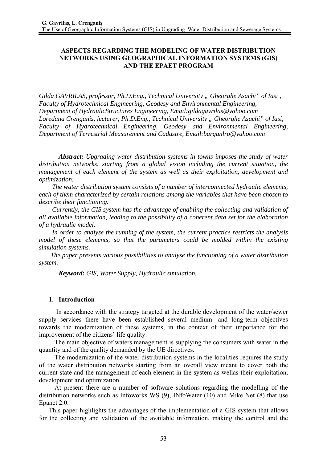# **ASPECTS REGARDING THE MODELING OF WATER DISTRIBUTION NETWORKS USING GEOGRAPHICAL INFORMATION SYSTEMS (GIS) AND THE EPAET PROGRAM**

Gilda GAVRILAS, professor, Ph.D.Eng., Technical University " Gheorghe Asachi" of Iasi, *Faculty of Hydrotechnical Engineering, Geodesy and Environmental Engineering, Department of HydraulicStructures Engineering, Email:gildagavrilas@yahoo.com Loredana Crenganis, lecturer, Ph.D.Eng., Technical University " Gheorghe Asachi" of Iasi, Faculty of Hydrotechnical Engineering, Geodesy and Environmental Engineering, Department of Terrestrial Measurement and Cadastre, Email:barganlro@yahoo.com*

*Abstract: Upgrading water distribution systems in towns imposes the study of water distribution networks, starting from a global vision including the current situation, the management of each element of the system as well as their exploitation, development and optimization.* 

 *The water distribution system consists of a number of interconnected hydraulic elements, each of them characterized by certain relations among the variables that have been chosen to describe their functioning.* 

 *Currently, the GIS system has the advantage of enabling the collecting and validation of all available information, leading to the possibility of a coherent data set for the elaboration of a hydraulic model.* 

 *In order to analyse the running of the system, the current practice restricts the analysis model of these elements, so that the parameters could be molded within the existing simulation systems.* 

 *The paper presents various possibilities to analyse the functioning of a water distribution system.* 

*Keyword: GIS, Water Supply, Hydraulic simulation.* 

### **1. Introduction**

 In accordance with the strategy targeted at the durable development of the water/sewer supply services there have been established several medium- and long-term objectives towards the modernization of these systems, in the context of their importance for the improvement of the citizens' life quality.

The main objective of waters management is supplying the consumers with water in the quantity and of the quality demanded by the UE directives.

The modernization of the water distribution systems in the localities requires the study of the water distribution networks starting from an overall view meant to cover both the current state and the management of each element in the system as wellas their exploitation, development and optimization.

At present there are a number of software solutions regarding the modelling of the distribution networks such as Infoworks WS (9), INfoWater (10) and Mike Net (8) that use Epanet 2.0.

 This paper highlights the advantages of the implementation of a GIS system that allows for the collecting and validation of the available information, making the control and the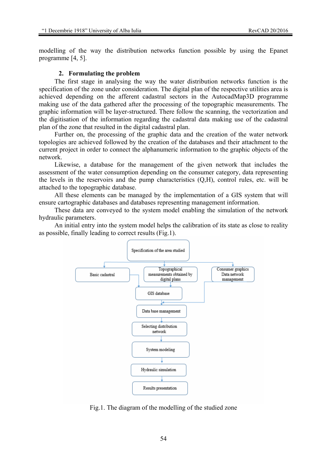modelling of the way the distribution networks function possible by using the Epanet programme [4, 5].

#### **2. Formulating the problem**

The first stage in analysing the way the water distribution networks function is the specification of the zone under consideration. The digital plan of the respective utilities area is achieved depending on the afferent cadastral sectors in the AutocadMap3D programme making use of the data gathered after the processing of the topographic measurements. The graphic information will be layer-structured. There follow the scanning, the vectorization and the digitisation of the information regarding the cadastral data making use of the cadastral plan of the zone that resulted in the digital cadastral plan.

Further on, the processing of the graphic data and the creation of the water network topologies are achieved followed by the creation of the databases and their attachment to the current project in order to connect the alphanumeric information to the graphic objects of the network.

Likewise, a database for the management of the given network that includes the assessment of the water consumption depending on the consumer category, data representing the levels in the reservoirs and the pump characteristics (Q,H), control rules, etc. will be attached to the topographic database.

All these elements can be managed by the implementation of a GIS system that will ensure cartographic databases and databases representing management information.

These data are conveyed to the system model enabling the simulation of the network hydraulic parameters.

An initial entry into the system model helps the calibration of its state as close to reality as possible, finally leading to correct results (Fig.1).



Fig.1. The diagram of the modelling of the studied zone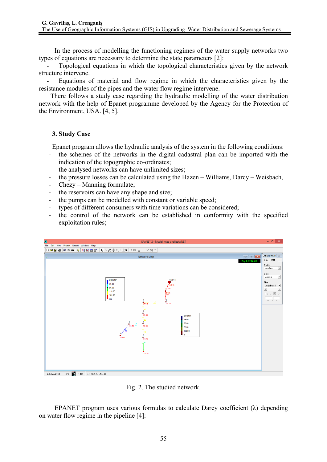In the process of modelling the functioning regimes of the water supply networks two types of equations are necessary to determine the state parameters [2]:

Topological equations in which the topological characteristics given by the network structure intervene.

- Equations of material and flow regime in which the characteristics given by the resistance modules of the pipes and the water flow regime intervene.

 There follows a study case regarding the hydraulic modelling of the water distribution network with the help of Epanet programme developed by the Agency for the Protection of the Environment, USA. [4, 5].

## **3. Study Case**

Epanet program allows the hydraulic analysis of the system in the following conditions:

- the schemes of the networks in the digital cadastral plan can be imported with the indication of the topographic co-ordinates;
- the analysed networks can have unlimited sizes;
- the pressure losses can be calculated using the Hazen Williams, Darcy Weisbach,
- Chezy Manning formulate;
- the reservoirs can have any shape and size;
- the pumps can be modelled with constant or variable speed;
- types of different consumers with time variations can be considered;
- the control of the network can be established in conformity with the specified exploitation rules;



Fig. 2. The studied network.

EPANET program uses various formulas to calculate Darcy coefficient  $(\lambda)$  depending on water flow regime in the pipeline [4]: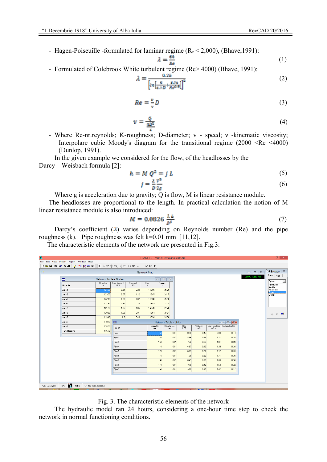- Hagen-Poiseuille -formulated for laminar regime  $(R_e < 2,000)$ , (Bhave, 1991):

$$
\lambda = \frac{64}{\hbar e} \tag{1}
$$

- Formulated of Colebrook White turbulent regime (Re> 4000) (Bhave, 1991):

$$
\lambda = \frac{0.25}{\left[ln\left[\frac{k}{a-D} + \frac{6.74}{Re^{0.5}}\right]\right]^2}
$$
(2)

$$
Re = \frac{v}{v}D \tag{3}
$$

$$
w = \frac{Q}{\frac{\pi B^2}{4}}\tag{4}
$$

- Where Re-nr.reynolds; K-roughness; D-diameter; v - speed; ν -kinematic viscosity; Interpolare cubic Moody's diagram for the transitional regime (2000 <Re <4000) (Dunlop, 1991).

In the given example we considered for the flow, of the headlosses by the Darcy – Weisbach formula [2]:

$$
h = M Q^2 = f L \tag{5}
$$

$$
j = \frac{\lambda}{D} \frac{v^2}{2g} \tag{6}
$$

Where g is acceleration due to gravity; Q is flow, M is linear resistance module.

 The headlosses are proportional to the length. In practical calculation the notion of M linear resistance module is also introduced:

$$
M = 0.0826 \frac{\lambda L}{n^2} \tag{7}
$$

Darcy's coefficient  $(\lambda)$  varies depending on Reynolds number  $(Re)$  and the pipe roughness (k). Pipe roughness was felt k=0.01 mm [11,12].

The characteristic elements of the network are presented in Fig.3:

| Ô                                                                                                                                                                                                            | EPANET 2 - Model retea analizata.NET |                |                           |                            |                 |                                                                                                                                            |               |                               |                                         |              |                 |                                         | $    -$ |
|--------------------------------------------------------------------------------------------------------------------------------------------------------------------------------------------------------------|--------------------------------------|----------------|---------------------------|----------------------------|-----------------|--------------------------------------------------------------------------------------------------------------------------------------------|---------------|-------------------------------|-----------------------------------------|--------------|-----------------|-----------------------------------------|---------|
| File Edit View Project Report Window Help                                                                                                                                                                    |                                      |                |                           |                            |                 |                                                                                                                                            |               |                               |                                         |              |                 |                                         |         |
| LN¤⊕@Q¤ OEB⊣GMI<br>$\bigcap$ $\bigcirc$ $\bigcirc$ $\bigcirc$ $\bigcirc$ $\bigcirc$ $\bigcirc$ $\bigcirc$ $\bigcirc$ $\bigcirc$ $\bigcirc$ $\bigcirc$ $\bigcirc$ $\bigcirc$ $\bigcirc$ $\bigcirc$ $\bigcirc$ |                                      |                |                           |                            |                 |                                                                                                                                            |               |                               |                                         |              |                 |                                         |         |
| 囂                                                                                                                                                                                                            |                                      |                | <b>Network Map</b>        |                            |                 |                                                                                                                                            |               |                               |                                         | $\Box$ math> | 33 Browser &    |                                         |         |
|                                                                                                                                                                                                              | 圓<br>Network Table - Nodes           |                |                           |                            |                 | $\overline{\mathbb{Z}}$<br>$\begin{array}{c c c c c} \hline \multicolumn{3}{c }{\textbf{0}} & \multicolumn{3}{c }{\textbf{0}} \end{array}$ |               |                               |                                         |              | Day 1, 12:00 AM | Data   Map                              |         |
|                                                                                                                                                                                                              | Node ID                              | Elevation<br>m | <b>Base Demand</b><br>LPS | Demand<br>LPS.             | Head<br>m       | Pressure<br>m                                                                                                                              |               |                               |                                         |              |                 | <b>Options</b><br>Hydraulics<br>Quality | 그       |
|                                                                                                                                                                                                              | Junc 1                               | 124.30         | 0.54                      | 0.29                       | 149.56          | 25.26                                                                                                                                      |               |                               |                                         |              |                 | Reactions<br>Times                      |         |
|                                                                                                                                                                                                              | Junc 2                               | 123.30         | 2.07                      | 1.12                       | 149.45          | 26.15                                                                                                                                      |               |                               |                                         |              |                 | Energy                                  |         |
|                                                                                                                                                                                                              | Junc 3                               | 122.40         | 1.98                      | 1.07                       | 148.99          | 26.59                                                                                                                                      |               |                               |                                         |              |                 |                                         |         |
|                                                                                                                                                                                                              | Junc 4                               | 121.80         | 0.81                      | 0.44                       | 148.89          | 27.09                                                                                                                                      |               |                               |                                         |              |                 |                                         |         |
|                                                                                                                                                                                                              | Junc 5                               | 121.30         | 1.95                      | 1.05                       | 148.76          | 27.46                                                                                                                                      |               |                               |                                         |              |                 |                                         |         |
|                                                                                                                                                                                                              | Junc 6                               | 120.60         | 1.68                      | 0.91                       | 148.54          | 27.94                                                                                                                                      |               |                               |                                         |              |                 | $A \times B$                            |         |
|                                                                                                                                                                                                              | Junc 8                               | 119.40         | 0.9                       | 0.49                       | 148.26          | 28.86                                                                                                                                      |               |                               |                                         |              |                 |                                         |         |
|                                                                                                                                                                                                              | Junc 7<br>119.70                     |                |                           | 圖<br>Network Table - Links |                 |                                                                                                                                            |               |                               |                                         |              |                 |                                         |         |
|                                                                                                                                                                                                              | Junc 9                               | 118.50         | Link ID                   |                            | Diameter<br>mm. | Roughness<br>mm.                                                                                                                           | $Flow$<br>LPS | Velocity<br>m/s               | Unit Headloss   Friction Factor<br>m/km |              |                 |                                         |         |
|                                                                                                                                                                                                              | Tank Rezervor                        | 145.76         | Pipe 1                    |                            |                 | 0.01<br>160                                                                                                                                | 9.15          | 0.45                          | 0.93                                    | 0.014        |                 |                                         |         |
|                                                                                                                                                                                                              |                                      |                | Pipe 2                    |                            |                 | 160<br>0.01                                                                                                                                | 8.86          | 0.44                          | 1.21                                    | 0.020        |                 |                                         |         |
|                                                                                                                                                                                                              |                                      |                | Pipe 3                    |                            |                 | 140<br>0.01                                                                                                                                | 7.74          | 0.50                          | 1.81                                    | 0.020        |                 |                                         |         |
|                                                                                                                                                                                                              |                                      |                | Pipe 4                    |                            |                 | 140<br>0.01                                                                                                                                | 6.67          | 0.43                          | 1.39                                    | 0.020        |                 |                                         |         |
|                                                                                                                                                                                                              |                                      |                | Pipe 5                    |                            |                 | 125<br>0.01                                                                                                                                | 6.23          | 0.51                          | 2.12                                    | 0.020        |                 |                                         |         |
|                                                                                                                                                                                                              |                                      |                | Pipe 6                    |                            |                 | 75<br>0.01                                                                                                                                 | 1.39          | 0.32                          | 1.71                                    | 0.025        |                 |                                         |         |
|                                                                                                                                                                                                              |                                      |                | Pipe 7                    |                            |                 | 50<br>0.01                                                                                                                                 | 0.49          | 0.25                          | 1.86                                    | 0.030        |                 |                                         |         |
|                                                                                                                                                                                                              |                                      |                | Pipe 8                    |                            |                 | 110<br>0.01                                                                                                                                | 3.79          | 0.40                          | 1.60                                    | 0.022        |                 |                                         |         |
|                                                                                                                                                                                                              |                                      |                | Pipe 9                    |                            |                 | 90<br>0.01                                                                                                                                 | 3.02          | 0.48                          | 2.82                                    | 0.022        |                 |                                         |         |
|                                                                                                                                                                                                              |                                      |                |                           |                            |                 |                                                                                                                                            |               |                               |                                         |              |                 |                                         |         |
|                                                                                                                                                                                                              |                                      |                |                           |                            |                 |                                                                                                                                            |               |                               |                                         |              |                 |                                         |         |
| Auto-Length Off                                                                                                                                                                                              | LPS 2 100% XY: 10246.60, 6343.54     |                |                           |                            |                 |                                                                                                                                            |               |                               |                                         |              |                 |                                         |         |
|                                                                                                                                                                                                              |                                      |                |                           |                            |                 |                                                                                                                                            |               | <b><i>Command Command</i></b> |                                         |              |                 | <b>AN PAINTY</b>                        |         |

Fig. 3. The characteristic elements of the network

The hydraulic model ran 24 hours, considering a one-hour time step to check the network in normal functioning conditions.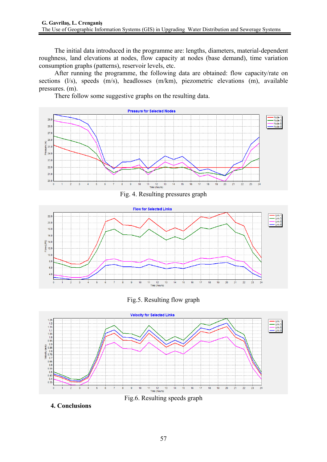The initial data introduced in the programme are: lengths, diameters, material-dependent roughness, land elevations at nodes, flow capacity at nodes (base demand), time variation consumption graphs (patterns), reservoir levels, etc.

After running the programme, the following data are obtained: flow capacity/rate on sections (l/s), speeds (m/s), headlosses (m/km), piezometric elevations (m), available pressures. (m).

There follow some suggestive graphs on the resulting data.